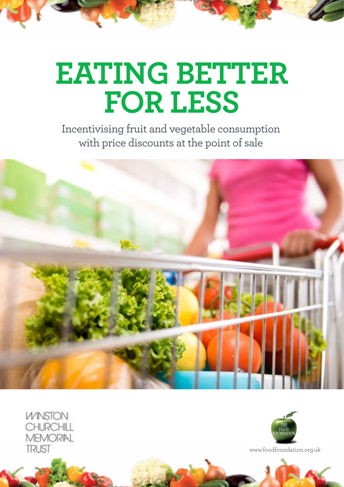# **EATING BETTER FOR LESS**

Incentivising fruit and vegetable consumption with price discounts at the point of sale



**WINSTON** CHURCHILL **MEMORIAL TRUST** 



www.foodfoundation.org.uk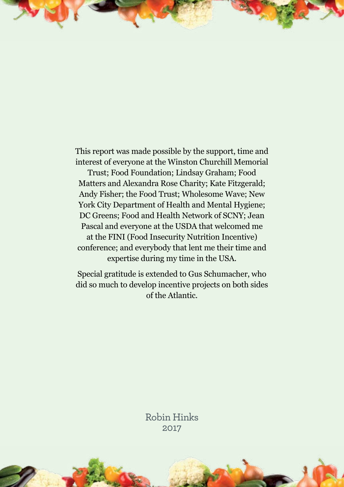This report was made possible by the support, time and interest of everyone at the Winston Churchill Memorial

Trust; Food Foundation; Lindsay Graham; Food Matters and Alexandra Rose Charity; Kate Fitzgerald; Andy Fisher; the Food Trust; Wholesome Wave; New York City Department of Health and Mental Hygiene; DC Greens; Food and Health Network of SCNY; Jean Pascal and everyone at the USDA that welcomed me at the FINI (Food Insecurity Nutrition Incentive) conference; and everybody that lent me their time and expertise during my time in the USA.

Special gratitude is extended to Gus Schumacher, who did so much to develop incentive projects on both sides of the Atlantic.

> Robin Hinks 2017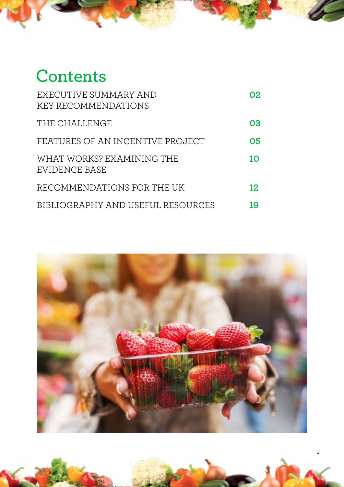# **Contents**

| EXECUTIVE SUMMARY AND<br><b>KEY RECOMMENDATIONS</b> | 02 |
|-----------------------------------------------------|----|
| THE CHALLENGE                                       | 03 |
| FEATURES OF AN INCENTIVE PROJECT                    | 05 |
| WHAT WORKS? EXAMINING THE<br>EVIDENCE BASE          | 10 |
| RECOMMENDATIONS FOR THE UK                          | 12 |
| BIBLIOGRAPHY AND USEFUL RESOURCES                   | 19 |



**1**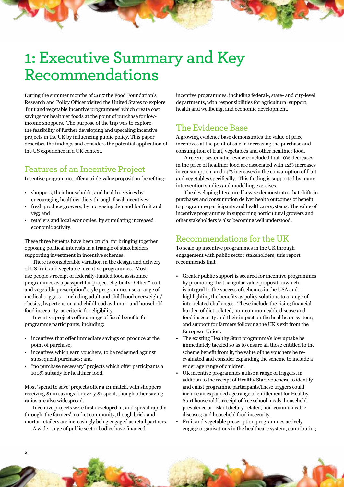# <span id="page-3-0"></span>**1: Executive Summary and Key Recommendations**

During the summer months of 2017 the Food Foundation's Research and Policy Officer visited the United States to explore 'fruit and vegetable incentive programmes' which create cost savings for healthier foods at the point of purchase for lowincome shoppers. The purpose of the trip was to explore the feasibility of further developing and upscaling incentive projects in the UK by influencing public policy. This paper describes the findings and considers the potential application of the US experience in a UK context.

### **Features of an Incentive Project**

Incentive programmes offer a triple-value proposition, benefiting:

- shoppers, their households, and health services by encouraging healthier diets through fiscal incentives;
- fresh produce growers, by increasing demand for fruit and veg; and
- retailers and local economies, by stimulating increased economic activity.

These three benefits have been crucial for bringing together opposing political interests in a triangle of stakeholders supporting investment in incentive schemes.

There is considerable variation in the design and delivery of US fruit and vegetable incentive programmes. Most use people's receipt of federally-funded food assistance programmes as a passport for project eligibility. Other "fruit and vegetable prescription" style programmes use a range of medical triggers – including adult and childhood overweight/ obesity, hypertension and childhood asthma – and household food insecurity, as criteria for eligibility.

Incentive projects offer a range of fiscal benefits for programme participants, including:

- incentives that offer immediate savings on produce at the point of purchase;
- incentives which earn vouchers, to be redeemed against subsequent purchases; and
- "no purchase necessary" projects which offer participants a 100% subsidy for healthier food.

Most 'spend to save' projects offer a 1:1 match, with shoppers receiving \$1 in savings for every \$1 spent, though other saving ratios are also widespread.

Incentive projects were first developed in, and spread rapidly through, the farmers' market community, though brick-andmortar retailers are increasingly being engaged as retail partners.

A wide range of public sector bodies have financed

**2**

incentive programmes, including federal-, state- and city-level departments, with responsibilities for agricultural support, health and wellbeing, and economic development.

### **The Evidence Base**

A growing evidence base demonstrates the value of price incentives at the point of sale in increasing the purchase and consumption of fruit, vegetables and other healthier food.

A recent, systematic review concluded that 10% decreases in the price of healthier food are associated with 12% increases in consumption, and 14% increases in the consumption of fruit and vegetables specifically. This finding is supported by many intervention studies and modelling exercises.

The developing literature likewise demonstrates that shifts in purchases and consumption deliver health outcomes of benefit to programme participants and healthcare systems. The value of incentive programmes in supporting horticultural growers and other stakeholders is also becoming well understood.

### **Recommendations for the UK**

To scale up incentive programmes in the UK through engagement with public sector stakeholders, this report recommends that

- [Greater public support is secured for incentive programmes](#page-13-0)  [by promoting the triangular value propositionwhich](#page-13-0)  [is integral to the success of schemes in the USA and ,](#page-13-0)  [highlighting the benefits as policy solutions to a range of](#page-13-0)  [interrelated challenges. These include the rising financial](#page-13-0)  [burden of diet-related, non-communicable disease and](#page-13-0)  [food insecurity and their impact on the healthcare system;](#page-13-0)  [and support for farmers following the UK's exit from the](#page-13-0)  [European Union.](#page-13-0)
- [The existing Healthy Start programme's low uptake be](#page-13-0)  [immediately tackled so as to ensure all those entitled to the](#page-13-0)  [scheme benefit from it, the value of the vouchers be re](#page-13-0)[evaluated and consider expanding the scheme to include a](#page-13-0)  [wider age range of children.](#page-13-0)
- [UK incentive programmes utilise a range of triggers, in](#page-14-0)  [addition to the receipt of Healthy Start vouchers, to identify](#page-14-0)  [and enlist programme participants.These triggers could](#page-14-0)  [include an expanded age range of entitlement for Healthy](#page-14-0)  [Start household's receipt of free school meals; household](#page-14-0)  [prevalence or risk of dietary-related, non-communicable](#page-14-0)  [diseases; and household food insecurity.](#page-14-0)
- [Fruit and vegetable prescription programmes actively](#page-16-0)  [engage organisations in the healthcare system, contributing](#page-16-0)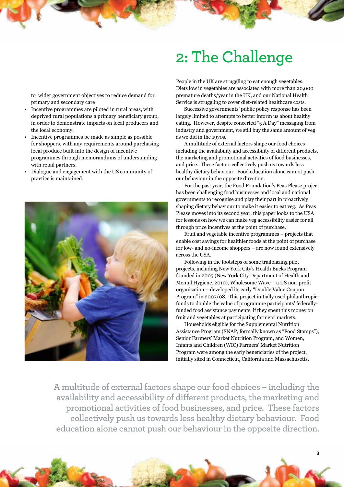# **2: The Challenge**

<span id="page-4-0"></span>[to wider government objectives to reduce demand for](#page-16-0)  [primary and secondary care](#page-16-0)

- [Incentive programmes are piloted in rural areas, with](#page-17-0)  [deprived rural populations a primary beneficiary group,](#page-17-0)  [in order to demonstrate impacts on local producers and](#page-17-0)  [the local economy.](#page-17-0)
- [Incentive programmes be made as simple as possible](#page-18-0)  [for shoppers, with any requirements around purchasing](#page-18-0)  [local produce built into the design of incentive](#page-18-0)  [programmes through memorandums of understanding](#page-18-0)  [with retail partners.](#page-18-0)
- [Dialogue and engagement with the US community of](#page-19-0)  [practice is maintained.](#page-19-0)



People in the UK are struggling to eat enough vegetables. Diets low in vegetables are associated with more than 20,000 premature deaths/year in the UK, and our National Health Service is struggling to cover diet-related healthcare costs.

Successive governments' public policy response has been largely limited to attempts to better inform us about healthy eating. However, despite concerted "5 A Day" messaging from industry and government, we still buy the same amount of veg as we did in the 1970s.

A multitude of external factors shape our food choices – including the availability and accessibility of different products, the marketing and promotional activities of food businesses, and price. These factors collectively push us towards less healthy dietary behaviour. Food education alone cannot push our behaviour in the opposite direction.

For the past year, the Food Foundation'[s Peas Please](http://foodfoundation.org.uk/peasplease/) project has been challenging food businesses and local and national governments to recognise and play their part in proactively shaping dietary behaviour to make it easier to eat veg. As Peas Please moves into its second year, this paper looks to the USA for lessons on how we can make veg accessibility easier for all through price incentives at the point of purchase.

Fruit and vegetable incentive programmes – projects that enable cost savings for healthier foods at the point of purchase for low- and no-income shoppers – are now found extensively across the USA.

Following in the footsteps of some trailblazing pilot projects, including New York City's Health Bucks Program founded in 2005 (New York City Department of Health and Mental Hygiene, 2010), [Wholesome Wave](https://www.wholesomewave.org/) – a US non-profit organisation – developed its early "Double Value Coupon Program" in 2007/08. This project initially used philanthropic funds to double the value of programme participants' federallyfunded food assistance payments, if they spent this money on fruit and vegetables at participating farmers' markets.

Households eligible for the [Supplemental Nutrition](https://www.fns.usda.gov/snap/supplemental-nutrition-assistance-program-snap)  [Assistance Program \(](https://www.fns.usda.gov/snap/supplemental-nutrition-assistance-program-snap)SNAP, formally known as "Food Stamps"), [Senior Farmers' Market Nutrition Program](https://www.fns.usda.gov/sfmnp/senior-farmers-market-nutrition-program-sfmnp), and [Women,](https://www.fns.usda.gov/fmnp/wic-farmers-market-nutrition-program-fmnp)  [Infants and Children \(WIC\) Farmers' Market Nutrition](https://www.fns.usda.gov/fmnp/wic-farmers-market-nutrition-program-fmnp) Program were among the early beneficiaries of the project, initially sited in Connecticut, California and Massachusetts.

**3**

**A multitude of external factors shape our food choices – including the availability and accessibility of different products, the marketing and promotional activities of food businesses, and price. These factors collectively push us towards less healthy dietary behaviour. Food education alone cannot push our behaviour in the opposite direction.**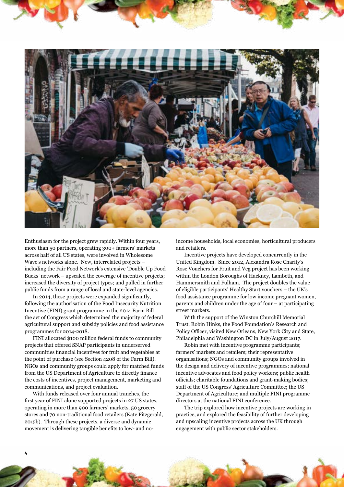

Enthusiasm for the project grew rapidly. Within four years, more than 50 partners, operating 300+ farmers' markets across half of all US states, were involved in Wholesome Wave's networks alone. New, interrelated projects – including the Fair Food Network's extensiv[e 'Double Up Food](http://www.doubleupfoodbucks.org/)  [Bucks'](http://www.doubleupfoodbucks.org/) network – upscaled the coverage of incentive projects; increased the diversity of project types; and pulled in further public funds from a range of local and state-level agencies.

In 2014, these projects were expanded significantly, following the authorisation of the [Food Insecurity Nutrition](https://nifa.usda.gov/program/food-insecurity-nutrition-incentive-fini-grant-program)  [Incentive \(](https://nifa.usda.gov/program/food-insecurity-nutrition-incentive-fini-grant-program)FINI) grant programme in the 2014 Farm Bill – the act of Congress which determined the majority of federal agricultural support and subsidy policies and food assistance programmes for 2014-2018.

FINI allocated \$100 million federal funds to community projects that offered SNAP participants in underserved communities financial incentives for fruit and vegetables at the point of purchase [\(see Section 4208 of the Farm Bill\)](https://www.congress.gov/bill/113th-congress/house-bill/2642). NGOs and community groups could apply for matched funds from the US Department of Agriculture to directly finance the costs of incentives, project management, marketing and communications, and project evaluation.

With funds released over four annual tranches, the first year of FINI alone supported projects in 27 US states, operating in more than 900 farmers' markets, 50 grocery stores and 70 non-traditional food retailers (Kate Fitzgerald, 2015b). Through these projects, a diverse and dynamic movement is delivering tangible benefits to low- and noincome households, local economies, horticultural producers and retailers.

Incentive projects have developed concurrently in the United Kingdom. Since 2012, [Alexandra Rose Charity's](http://www.alexandrarose.org.uk/rose-vouchers)  [Rose Vouchers for Fruit and Veg](http://www.alexandrarose.org.uk/rose-vouchers) project has been working within the London Boroughs of Hackney, Lambeth, and Hammersmith and Fulham. The project doubles the value of eligible participants' [Healthy Start](https://www.healthystart.nhs.uk/) vouchers – the UK's food assistance programme for low income pregnant women, parents and children under the age of four – at participating street markets.

With the support of the [Winston Churchill Memorial](http://www.wcmt.org.uk/)  [Trust,](http://www.wcmt.org.uk/) Robin Hinks, the Food Foundation's Research and Policy Officer, visited New Orleans, New York City and State, Philadelphia and Washington DC in July/August 2017.

Robin met with incentive programme participants; farmers' markets and retailers; their representative organisations; NGOs and community groups involved in the design and delivery of incentive programmes; national incentive advocates and food policy workers; public health officials; charitable foundations and grant-making bodies; staff of the US Congress' Agriculture Committee; the US Department of Agriculture; and multiple FINI programme directors at the national FINI conference.

The trip explored how incentive projects are working in practice, and explored the feasibility of further developing and upscaling incentive projects across the UK through engagement with public sector stakeholders.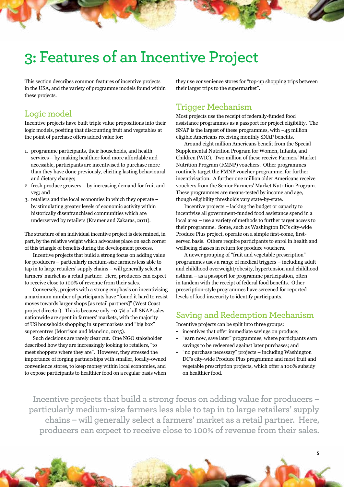## <span id="page-6-0"></span>**3: Features of an Incentive Project**

This section describes common features of incentive projects in the USA, and the variety of programme models found within these projects.

**Logic model**

Incentive projects have built triple value propositions into their logic models, positing that discounting fruit and vegetables at the point of purchase offers added value for:

- 1. programme participants, their households, and health services – by making healthier food more affordable and accessible, participants are incentivised to purchase more than they have done previously, eliciting lasting behavioural and dietary change;
- 2. fresh produce growers by increasing demand for fruit and veg; and
- 3. retailers and the local economies in which they operate by stimulating greater levels of economic activity within historically disenfranchised communities which are underserved by retailers (Kramer and Zakaras, 2011).

The structure of an individual incentive project is determined, in part, by the relative weight which advocates place on each corner of this triangle of benefits during the development process.

Incentive projects that build a strong focus on adding value for producers – particularly medium-size farmers less able to tap in to large retailers' supply chains – will generally select a farmers' market as a retail partner. Here, producers can expect to receive close to 100% of revenue from their sales.

Conversely, projects with a strong emphasis on incentivising a maximum number of participants have "found it hard to resist moves towards larger shops [as retail partners]" (West Coast project director). This is because only ~0.5% of all SNAP sales nationwide are spent in farmers' markets, with the majority of US households shopping in supermarkets and "big box" supercentres (Morrison and Mancino, 2015).

Such decisions are rarely clear cut. One NGO stakeholder described how they are increasingly looking to retailers, "to meet shoppers where they are". However, they stressed the importance of forging partnerships with smaller, locally-owned convenience stores, to keep money within local economies, and to expose participants to healthier food on a regular basis when they use convenience stores for "top-up shopping trips between their larger trips to the supermarket".

#### **Trigger Mechanism**

Most projects use the receipt of federally-funded food assistance programmes as a passport for project eligibility. The SNAP is the largest of these programmes, with  $~145$  million eligible Americans receiving monthly SNAP benefits.

Around eight million Americans benefit from the Special Supplemental Nutrition Program for Women, Infants, and Children (WIC). Two million of these receive Farmers' Market Nutrition Program (FMNP) vouchers. Other programmes routinely target the FMNP voucher programme, for further incentivisation. A further one million older Americans receive vouchers from the Senior Farmers' Market Nutrition Program. These programmes are means-tested by income and age, though eligibility thresholds vary state-by-state.

Incentive projects – lacking the budget or capacity to incentivise all government-funded food assistance spend in a local area – use a variety of methods to further target access to their programme. Some, such as Washington DC's city-wide [Produce Plus](http://dcgreens.org/customer/) project, operate on a simple first-come, firstserved basis. Others require participants to enrol in health and wellbeing classes in return for produce vouchers.

A newer grouping of "fruit and vegetable prescription" programmes uses a range of medical triggers – including adult and childhood overweight/obesity, hypertension and childhood asthma – as a passport for programme participation, often in tandem with the receipt of federal food benefits. Other prescription-style programmes have screened for reported levels of food insecurity to identify participants.

#### **Saving and Redemption Mechanism**

Incentive projects can be split into three groups:

- incentives that offer immediate savings on produce:
- "earn now, save later" programmes, where participants earn savings to be redeemed against later purchases; and
- "no purchase necessary" projects including Washington DC's city-wide Produce Plus programme and most fruit and vegetable prescription projects, which offer a 100% subsidy on healthier food.

**5**

**Incentive projects that build a strong focus on adding value for producers – particularly medium-size farmers less able to tap in to large retailers' supply chains – will generally select a farmers' market as a retail partner. Here, producers can expect to receive close to 100% of revenue from their sales.**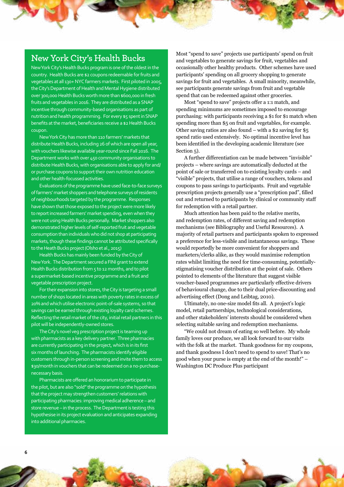#### **New York City's Health Bucks**

New York City's Health Bucks program is one of the oldest in the country. Health Bucks are \$2 coupons redeemable for fruits and vegetables at all 130+ NYC farmers markets. First piloted in 2005, the City's Department of Health and Mental Hygiene distributed over 300,000 Health Bucks worth more than \$600,000 in fresh fruits and vegetables in 2016. They are distributed as a SNAP incentive through community-based organisations as part of nutrition and health programming. For every \$5 spent in SNAP benefits at the market, beneficiaries receive a \$2 Health Bucks coupon.

New York City has more than 110 farmers' markets that distribute Health Bucks, including 26 of which are open all year, with vouchers likewise available year-round since Fall 2016. The Department works with over 450 community organisations to distribute Health Bucks, with organisations able to apply for and/ or purchase coupons to support their own nutrition education and other health-focussed activities.

Evaluations of the programme have used face-to-face surveys of farmers' market shoppers and telephone surveys of residents of neighbourhoods targeted by the programme. Responses have shown that those exposed to the project were more likely to report increased farmers' market spending, even when they were not using Health Bucks personally. Market shoppers also demonstrated higher levels of self-reported fruit and vegetable consumption than individuals who did not shop at participating markets, though these findings cannot be attributed specifically to the Heath Bucks project (Olsho et al., 2015)

Health Bucks has mainly been funded by the City of New York. The Department secured a FINI grant to extend Health Bucks distribution from 5 to 12 months, and to pilot a supermarket-based incentive programme and a fruit and vegetable prescription project.

For their expansion into stores, the City is targeting a small number of shops located in areas with poverty rates in excess of 20% and which utilise electronic point-of-sale systems, so that savings can be earned through existing loyalty card schemes. Reflecting the retail market of the city, initial retail partners in this pilot will be independently-owned stores.

The City's novel veg prescription project is teaming up with pharmacists as a key delivery partner. Three pharmacies are currently participating in the project, which is in its first six months of launching. The pharmacists identify eligible customers through in-person screening and invite them to access \$30/month in vouchers that can be redeemed on a no-purchasenecessary basis.

Pharmacists are offered an honorarium to participate in the pilot, but are also "sold" the programme on the hypothesis that the project may strengthen customers' relations with participating pharmacies: improving medical adherence – and store revenue – in the process. The Department is testing this hypothesise in its project evaluation and anticipates expanding into additional pharmacies.

Most "spend to save" projects use participants' spend on fruit and vegetables to generate savings for fruit, vegetables and occasionally other healthy products. Other schemes have used participants' spending on all grocery shopping to generate savings for fruit and vegetables. A small minority, meanwhile, see participants generate savings from fruit and vegetable spend that can be redeemed against other groceries.

Most "spend to save" projects offer a 1:1 match, and spending minimums are sometimes imposed to encourage purchasing: with participants receiving a \$1 for \$1 match when spending more than \$5 on fruit and vegetables, for example. Other saving ratios are also found – with a \$2 saving for \$5 spend ratio used extensively. No optimal incentive level has been identified in the developing academic literature [\(see](#page-13-0)  [Section 5\).](#page-13-0)

A further differentiation can be made between "invisible" projects – where savings are automatically deducted at the point of sale or transferred on to existing loyalty cards – and "visible" projects, that utilise a range of vouchers, tokens and coupons to pass savings to participants. Fruit and vegetable prescription projects generally use a "prescription pad", filled out and returned to participants by clinical or community staff for redemption with a retail partner.

Much attention has been paid to the relative merits, and redemption rates, of different saving and redemption mechanisms [\(see Bibliography and Useful Resources\).](#page-20-0) A majority of retail partners and participants spoken to expressed a preference for less-visible and instantaneous savings. These would reportedly be more convenient for shoppers and marketers/clerks alike, as they would maximise redemption rates whilst limiting the need for time-consuming, potentiallystigmatising voucher distribution at the point of sale. Others pointed to elements of the literature that suggest visible voucher-based programmes are particularly effective drivers of behavioural change, due to their dual price-discounting and advertising effect (Dong and Leibtag, 2010).

Ultimately, no one-size model fits all. A project's logic model, retail partnerships, technological considerations, and other stakeholders' interests should be considered when selecting suitable saving and redemption mechanisms.

"We could not dream of eating so well before. My whole family loves our produce, we all look forward to our visits with the folk at the market. Thank goodness for my coupons, and thank goodness I don't need to spend to save! That's no good when your purse is empty at the end of the month!" – Washington DC Produce Plus participant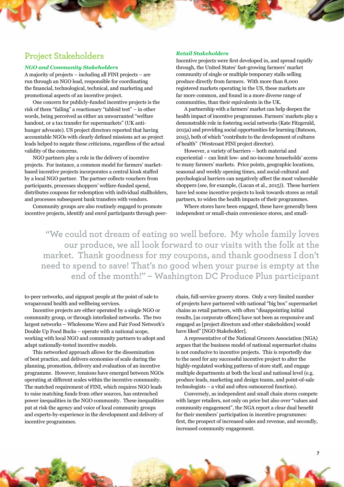#### **Project Stakeholders**

#### *NGO and Community Stakeholders*

A majority of projects – including all FINI projects – are run through an NGO lead, responsible for coordinating the financial, technological, technical, and marketing and promotional aspects of an incentive project.

One concern for publicly-funded incentive projects is the risk of them "failing" a reactionary "tabloid test" – in other words, being perceived as either an unwarranted "welfare handout, or a tax transfer for supermarkets" (UK antihunger advocate). US project directors reported that having accountable NGOs with clearly defined missions act as project leads helped to negate these criticisms, regardless of the actual validity of the concerns.

NGO partners play a role in the delivery of incentive projects. For instance, a common model for farmers' marketbased incentive projects incorporates a central kiosk staffed by a local NGO partner. The partner collects vouchers from participants, processes shoppers' welfare-funded spend, distributes coupons for redemption with individual stallholders, and processes subsequent bank transfers with vendors.

Community groups are also routinely engaged to promote incentive projects, identify and enrol participants through peer-

#### *Retail Stakeholders*

Incentive projects were first developed in, and spread rapidly through, the United States' fast-growing farmers' market community of single or multiple temporary stalls selling produce directly from farmers. With more than [8,000](https://farmersmarketcoalition.org/education/qanda/)  [registered markets operating in the US,](https://farmersmarketcoalition.org/education/qanda/) these markets are far more common, and found in a more diverse range of communities, than their equivalents in the UK.

A partnership with a farmers' market can help deepen the health impact of incentive programmes. Farmers' markets play a demonstrable role in fostering social networks (Kate Fitzgerald, 2015a) and providing social opportunities for learning (Bateson, 2015), both of which "contribute to the development of cultures of health" (Westcoast FINI project director).

However, a variety of barriers – both material and experiential – can limit low- and no-income households' access to many farmers' markets. Price points, geographic locations, seasonal and weekly opening times, and social-cultural and psychological barriers can negatively affect the most vulnerable shoppers (see, for example, (Lucan et al., 2015)). These barriers have led some incentive projects to look towards stores as retail partners, to widen the health impacts of their programmes.

Where stores have been engaged, these have generally been independent or small-chain convenience stores, and small-

**"We could not dream of eating so well before. My whole family loves our produce, we all look forward to our visits with the folk at the market. Thank goodness for my coupons, and thank goodness I don't need to spend to save! That's no good when your purse is empty at the end of the month!" – Washington DC Produce Plus participant** 

to-peer networks, and signpost people at the point of sale to wraparound health and wellbeing services.

Incentive projects are either operated by a single NGO or community group, or through interlinked networks. The two largest networks – Wholesome Wave and Fair Food Network's Double Up Food Bucks – operate with a national scope, working with local NGO and community partners to adopt and adapt nationally-tested incentive models.

This networked approach allows for the dissemination of best practice, and delivers economies of scale during the planning, promotion, delivery and evaluation of an incentive programme. However, tensions have emerged between NGOs operating at different scales within the incentive community. The matched requirement of FINI, which requires NGO leads to raise matching funds from other sources, has entrenched power inequalities in the NGO community. These inequalities put at risk the agency and voice of local community groups and experts-by-experience in the development and delivery of incentive programmes.

chain, full-service grocery stores. Only a very limited number of projects have partnered with national "big box" supermarket chains as retail partners, with often "disappointing initial results, [as corporate offices] have not been as responsive and engaged as [project directors and other stakeholders] would have liked" [NGO Stakeholder].

A representative of the National Grocers Association (NGA) argues that the business model of national supermarket chains is not conducive to incentive projects. This is reportedly due to the need for any successful incentive project to alter the highly-regulated working patterns of store staff, and engage multiple departments at both the local and national level (e.g. produce leads, marketing and design teams, and point-of-sale technologists – a vital and often outsourced function).

Conversely, as independent and small chain stores compete with larger retailers, not only on price but also over "values and community engagement", the NGA report a clear dual benefit for their members' participation in incentive programmes: first, the prospect of increased sales and revenue, and secondly, increased community engagement.

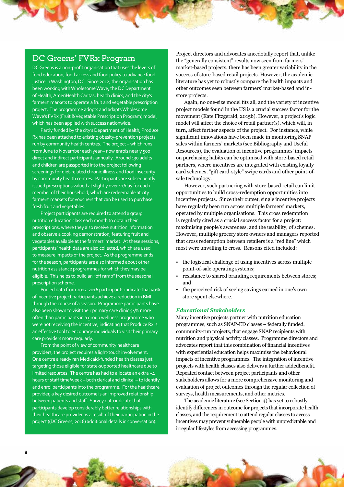#### **DC Greens' FVRx Program**

DC Greens is a non-profit organisation that uses the levers of food education, food access and food policy to advance food justice in Washington, DC. Since 2012, the organisation has been working with Wholesome Wave, the DC Department of Health, AmeriHealth Caritas, health clinics, and the city's farmers' markets to operate a fruit and vegetable prescription project. The programme adopts and adapts Wholesome Wave's FVRx (Fruit & Vegetable Prescription Program) model, which has been applied with success nationwide.

Partly funded by the city's Department of Health, Produce Rx has been attached to existing obesity-prevention projects run by community health centres. The project – which runs from June to November each year – now enrols nearly 500 direct and indirect participants annually. Around 130 adults and children are passported into the project following screenings for diet-related chronic illness and food insecurity by community health centres. Participants are subsequently issued prescriptions valued at slightly over \$1/day for each member of their household, which are redeemable at city farmers' markets for vouchers that can be used to purchase fresh fruit and vegetables.

Project participants are required to attend a group nutrition education class each month to obtain their prescriptions, where they also receive nutrition information and observe a cooking demonstration, featuring fruit and vegetables available at the farmers' market. At these sessions, participants' health data are also collected, which are used to measure impacts of the project. As the programme ends for the season, participants are also informed about other nutrition assistance programmes for which they may be eligible. This helps to build an "off ramp" from the seasonal prescription scheme.

Pooled data from 2012-2016 participants indicate that 50% of incentive project participants achieve a reduction in BMI through the course of a season. Programme participants have also been shown to visit their primary care clinic 54% more often than participants in a group wellness programme who were not receiving the incentive, indicating that Produce Rx is an effective tool to encourage individuals to visit their primary care providers more regularly.

From the point of view of community healthcare providers, the project requires a light-touch involvement. One centre already ran Medicaid-funded health classes just targeting those eligible for state-supported healthcare due to limited resources. The centre has had to allocate an extra ~4 hours of staff time/week – both clerical and clinical – to identify and enrol participants into the programme. For the healthcare provider, a key desired outcome is an improved relationship between patients and staff. Survey data indicate that participants develop considerably better relationships with their healthcare provider as a result of their participation in the project ((DC Greens, 2016) additional details in conversation).

Project directors and advocates anecdotally report that, unlike the "generally consistent" results now seen from farmers' market-based projects, there has been greater variability in the success of store-based retail projects. However, the academic literature has yet to robustly compare the health impacts and other outcomes seen between farmers' market-based and instore projects.

Again, no one-size model fits all, and the variety of incentive project models found in the US is a crucial success factor for the movement (Kate Fitzgerald, 2015b). However, a project's logic model will affect the choice of retail partner(s), which will, in turn, affect further aspects of the project. For instance, while significant innovations have been made in monitoring SNAP sales within farmers' markets [\(see Bibliography and Useful](#page-20-0)  [Resources\),](#page-20-0) the evaluation of incentive programmes' impacts on purchasing habits can be optimised with store-based retail partners, where incentives are integrated with existing loyalty card schemes, "gift card-style" swipe cards and other point-ofsale technology.

However, such partnering with store-based retail can limit opportunities to build cross-redemption opportunities into incentive projects. Since their outset, single incentive projects have regularly been run across multiple farmers' markets, operated by multiple organisations. This cross redemption is regularly cited as a crucial success factor for a project: maximising people's awareness, and the usability, of schemes. However, multiple grocery store owners and managers reported that cross redemption between retailers is a "red line" which most were unwilling to cross. Reasons cited included:

- the logistical challenge of using incentives across multiple point-of-sale operating systems;
- resistance to shared branding requirements between stores; and
- the perceived risk of seeing savings earned in one's own store spent elsewhere.

#### *Educational Stakeholders*

Many incentive projects partner with nutrition education programmes, such as [SNAP-ED classes](https://www.fns.usda.gov/snap/supplemental-nutrition-assistance-program-education-snap-ed) – federally funded, community-run projects, that engage SNAP recipients with nutrition and physical activity classes. Programme directors and advocates report that this combination of financial incentives with experiential education helps maximise the behavioural impacts of incentive programmes. The integration of incentive projects with health classes also delivers a further addedbenefit. Repeated contact between project participants and other stakeholders allows for a more comprehensive monitoring and evaluation of project outcomes through the regular collection of surveys, health measurements, and other metrics.

The academic literature [\(see Section 4\)](#page-11-0) has yet to robustly identify differences in outcome for projects that incorporate health classes, and the requirement to attend regular classes to access incentives may prevent vulnerable people with unpredictable and irregular lifestyles from accessing programmes.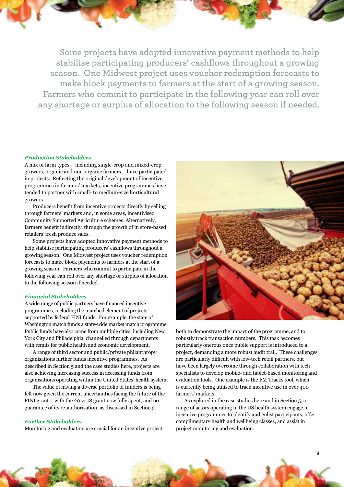**Some projects have adopted innovative payment methods to help stabilise participating producers' cashflows throughout a growing season. One Midwest project uses voucher redemption forecasts to make block payments to farmers at the start of a growing season. Farmers who commit to participate in the following year can roll over any shortage or surplus of allocation to the following season if needed.**

#### *Production Stakeholders*

A mix of farm types – including single-crop and mixed-crop growers, organic and non-organic farmers – have participated in projects. Reflecting the original development of incentive programmes in farmers' markets, incentive programmes have tended to partner with small- to medium-size horticultural growers.

Producers benefit from incentive projects directly by selling through farmers' markets and, in some areas, incentivised Community Supported Agriculture schemes. Alternatively, farmers benefit indirectly, through the growth of in store-based retailers' fresh produce sales.

Some projects have adopted innovative payment methods to help stabilise participating producers' cashflows throughout a growing season. One Midwest project uses voucher redemption forecasts to make block payments to farmers at the start of a growing season. Farmers who commit to participate in the following year can roll over any shortage or surplus of allocation to the following season if needed.

#### *Financial Stakeholders*

A wide range of public partners have financed incentive programmes, including the matched element of projects supported by federal FINI funds. For example, the state of [Washington match funds a state-wide market match programme.](http://www.doh.wa.gov/youandyourfamily/nutritionandphysicalactivity/healtheating/snapincentives/farmersmarketmatchprograms)  Public funds have also come from multiple cities, including New York City and Philadelphia, channelled through departments with remits for public health and economic development.

A range of third sector and public/private philanthropy organisations further funds incentive programmes. As described in [Section 5](#page-11-0) and the case studies here, projects are also achieving increasing success in accessing funds from organisations operating within the United States' health system.

The value of having a diverse portfolio of funders is being felt now given the current uncertainties facing the future of the FINI grant – with the 2014-18 grant now fully spent, and no guarantee of its re-authorisation, as discussed in [Section 5.](#page-11-0)

#### *Further Stakeholders*

Monitoring and evaluation are crucial for an incentive project,



both to demonstrate the impact of the programme, and to robustly track transaction numbers. This task becomes particularly onerous once public support is introduced to a project, demanding a more robust audit trail. These challenges are particularly difficult with low-tech retail partners, but have been largely overcome through collaboration with tech specialists to develop mobile- and tablet-based monitoring and evaluation tools. One example is the [FM Tracks](http://www.prchn.org/ForNetworks.aspx) tool, which is currently being utilised to track incentive use in over 400 farmers' markets.

As explored in the case studies here and in [Section 5,](#page-11-0) a range of actors operating in the US health system engage in incentive programmes to identify and enlist participants, offer complimentary health and wellbeing classes, and assist in project monitoring and evaluation.

**9**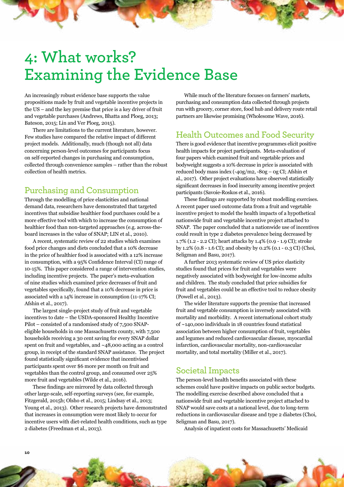# <span id="page-11-0"></span>**4: What works? Examining the Evidence Base**

An increasingly robust evidence base supports the value propositions made by fruit and vegetable incentive projects in the US – and the key premise that price is a key driver of fruit and vegetable purchases (Andrews, Bhatta and Ploeg, 2013; Bateson, 2015; Lin and Ver Ploeg, 2015).

There are limitations to the current literature, however. Few studies have compared the relative impact of different project models. Additionally, much (though not all) data concerning person-level outcomes for participants focus on self-reported changes in purchasing and consumption, collected through convenience samples – rather than the robust collection of health metrics.

### **Purchasing and Consumption**

Through the modelling of price elasticities and national demand data, researchers have demonstrated that targeted incentives that subsidise healthier food purchases could be a more effective tool with which to increase the consumption of healthier food than non-targeted approaches (e.g. across-theboard increases in the value of SNAP; LIN et al., 2010).

A recent, systematic review of 22 studies which examines food price changes and diets concluded that a 10% decrease in the price of healthier food is associated with a 12% increase in consumption, with a 95% Confidence Interval (CI) range of 10-15%. This paper considered a range of intervention studies, including incentive projects. The paper's meta-evaluation of nine studies which examined price decreases of fruit and vegetables specifically, found that a 10% decrease in price is associated with a 14% increase in consumption (11-17% CI; Afshin et al., 2017).

The largest single-project study of fruit and vegetable incentives to date – the USDA-sponsored Healthy Incentive Pilot – consisted of a randomised study of 7,500 SNAPeligible households in one Massachusetts county, with 7,500 households receiving a 30 cent saving for every SNAP dollar spent on fruit and vegetables, and ~48,000 acting as a control group, in receipt of the standard SNAP assistance. The project found statistically significant evidence that incentivised participants spent over \$6 more per month on fruit and vegetables than the control group, and consumed over 25% more fruit and vegetables (Wilde et al., 2016).

These findings are mirrored by data collected through other large-scale, self-reporting surveys (see, for example, Fitzgerald, 2015b; Olsho et al., 2015; Lindsay et al., 2013; Young et al., 2013). Other research projects have demonstrated that increases in consumption were most likely to occur for incentive users with diet-related health conditions, such as type 2 diabetes (Freedman et al., 2013).

While much of the literature focuses on farmers' markets, purchasing and consumption data collected through projects run with grocery, corner store, food hub and delivery route retail partners are likewise promising (Wholesome Wave, 2016).

### **Health Outcomes and Food Security**

There is good evidence that incentive programmes elicit positive health impacts for project participants. Meta-evaluation of four papers which examined fruit and vegetable prices and bodyweight suggests a 10% decrease in price is associated with reduced body mass index (-40g/m2, -80g – 0g CI; Afshin et al., 2017). Other project evaluations have observed statistically significant decreases in food insecurity among incentive project participants (Savoie-Roskos et al., 2016).

These findings are supported by robust modelling exercises. A recent paper used outcome data from a fruit and vegetable incentive project to model the health impacts of a hypothetical nationwide fruit and vegetable incentive project attached to SNAP. The paper concluded that a nationwide use of incentives could result in type 2 diabetes prevalence being decreased by 1.7% (1.2 - 2.2 CI); heart attacks by 1.4% (0.9 - 1.9 CI); stroke by 1.2% (0.8 - 1.6 CI); and obesity by 0.2% (0.1 - 0.3 CI) (Choi, Seligman and Basu, 2017).

A further 2013 systematic review of US price elasticity studies found that prices for fruit and vegetables were negatively associated with bodyweight for low-income adults and children. The study concluded that price subsidies for fruit and vegetables could be an effective tool to reduce obesity (Powell et al., 2013).

The wider literature supports the premise that increased fruit and vegetable consumption is inversely associated with mortality and morbidity. A recent international cohort study of ~140,000 individuals in 18 countries found statistical association between higher consumption of fruit, vegetables and legumes and reduced cardiovascular disease, myocardial infarction, cardiovascular mortality, non-cardiovascular mortality, and total mortality (Miller et al., 2017).

#### **Societal Impacts**

The person-level health benefits associated with these schemes could have positive impacts on public sector budgets. The modelling exercise described above concluded that a nationwide fruit and vegetable incentive project attached to SNAP would save costs at a national level, due to long-term reductions in cardiovascular disease and type 2 diabetes (Choi, Seligman and Basu, 2017).

Analysis of inpatient costs for Massachusetts' Medicaid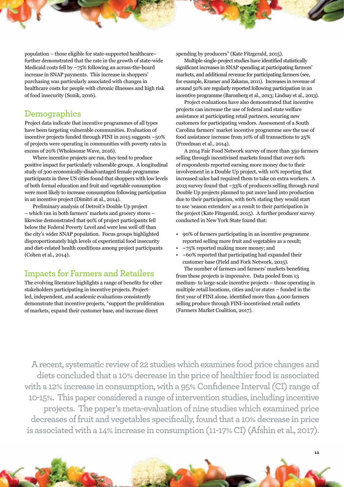population – those eligible for state-supported healthcare– further demonstrated that the rate in the growth of state-wide Medicaid costs fell by ~75% following an across-the-board increase in SNAP payments. This increase in shoppers' purchasing was particularly associated with changes in healthcare costs for people with chronic illnesses and high risk of food insecurity (Sonik, 2016).

#### **Demographics**

Project data indicate that incentive programmes of all types have been targeting vulnerable communities. Evaluation of incentive projects funded through FINI in 2015 suggests ~50% of projects were operating in communities with poverty rates in excess of 20% (Wholesome Wave, 2016).

Where incentive projects are run, they tend to produce positive impact for particularly vulnerable groups. A longitudinal study of 300 economically-disadvantaged female programme participants in three US cities found that shoppers with low levels of both formal education and fruit and vegetable consumption were most likely to increase consumption following participation in an incentive project (Dimitri at al., 2014).

Preliminary analysis of Detroit's Double Up project – which ran in both farmers' markets and grocery stores – likewise demonstrated that 90% of project participants fell below the Federal Poverty Level and were less well off than the city's wider SNAP population. Focus groups highlighted disproportionately high levels of experiential food insecurity and diet-related health conditions among project participants (Cohen et al., 2014).

#### **Impacts for Farmers and Retailers**

The evolving literature highlights a range of benefits for other stakeholders participating in incentive projects. Projectled, independent, and academic evaluations consistently demonstrate that incentive projects, "support the proliferation of markets, expand their customer base, and increase direct

spending by producers" (Kate Fitzgerald, 2015).

Multiple single-project studies have identified statistically significant increases in SNAP spending at participating farmers' markets, and additional revenue for participating farmers (see, for example, Kramer and Zakaras, 2011). Increases in revenue of around 50% are regularly reported following participation in an incentive programme (Baronberg et al., 2013; Lindsay et al., 2013).

Project evaluations have also demonstrated that incentive projects can increase the use of federal and state welfare assistance at participating retail partners, securing new customers for participating vendors. Assessment of a South Carolina farmers' market incentive programme saw the use of food assistance increase from 10% of all transactions to 25% (Freedman et al., 2014).

A 2014 Fair Food Network survey of more than 350 farmers selling through incentivised markets found that over 60% of respondents reported earning more money due to their involvement in a Double Up project, with 10% reporting that increased sales had required them to take on extra workers. A 2013 survey found that ~33% of producers selling through rural Double Up projects planned to put more land into production due to their participation, with 60% stating they would start to use 'season extenders' as a result to their participation in the project (Kate Fitzgerald, 2015). A further producer survey conducted in New York State found that:

- 90% of farmers participating in an incentive programme reported selling more fruit and vegetables as a result;
- $~\sim$ 75% reported making more money; and
- $\sim$  60% reported that participating had expanded their customer base (Field and Fork Network, 2015).

The number of farmers and farmers' markets benefiting from these projects is impressive. Data pooled from 13 medium- to large-scale incentive projects – those operating in multiple retail locations, cities and/or states – funded in the first year of FINI alone, identified more than 4,000 farmers selling produce through FINI-incentivised retail outlets (Farmers Market Coalition, 2017).

**11**

**A recent, systematic review of 22 studies which examines food price changes and diets concluded that a 10% decrease in the price of healthier food is associated with a 12% increase in consumption, with a 95% Confidence Interval (CI) range of 10-15%. This paper considered a range of intervention studies, including incentive projects. The paper's meta-evaluation of nine studies which examined price decreases of fruit and vegetables specifically, found that a 10% decrease in price is associated with a 14% increase in consumption (11-17% CI) (Afshin et al., 2017).**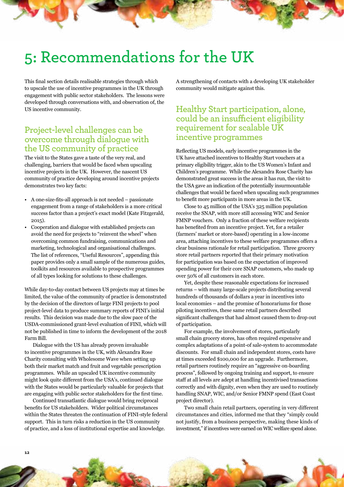### <span id="page-13-0"></span>**5: Recommendations for the UK**

This final section details realisable strategies through which to upscale the use of incentive programmes in the UK through engagement with public sector stakeholders. The lessons were developed through conversations with, and observation of, the US incentive community.

#### **Project-level challenges can be overcome through dialogue with the US community of practice**

The visit to the States gave a taste of the very real, and challenging, barriers that would be faced when upscaling incentive projects in the UK. However, the nascent US community of practice developing around incentive projects demonstrates two key facts:

- A one-size-fits-all approach is not needed passionate engagement from a range of stakeholders is a more critical success factor than a project's exact model (Kate Fitzgerald, 2015).
- Cooperation and dialogue with established projects can avoid the need for projects to "reinvent the wheel" when overcoming common fundraising, communications and marketing, technological and organisational challenges. The list of references, "[Useful Resources"](#page-20-0), appending this paper provides only a small sample of the numerous guides, toolkits and resources available to prospective programmes of all types looking for solutions to these challenges.

While day-to-day contact between US projects may at times be limited, the value of the community of practice is demonstrated by the decision of the directors of large FINI projects to pool project-level data to produce summary reports of FINI's initial results. This decision was made due to the slow pace of the USDA-commissioned grant-level evaluation of FINI, which will not be published in time to inform the development of the 2018 Farm Bill.

Dialogue with the US has already proven invaluable to incentive programmes in the UK, with Alexandra Rose Charity consulting with Wholesome Wave when setting up both their market match and fruit and vegetable prescription programmes. While an upscaled UK incentive community might look quite different from the USA's, continued dialogue with the States would be particularly valuable for projects that are engaging with public sector stakeholders for the first time.

Continued transatlantic dialogue would bring reciprocal benefits for US stakeholders. Wider political circumstances within the States threaten the continuation of FINI-style federal support. This in turn risks a reduction in the US community of practice, and a loss of institutional expertise and knowledge.

A strengthening of contacts with a developing UK stakeholder community would mitigate against this.

#### **Healthy Start participation, alone, could be an insufficient eligibility requirement for scalable UK incentive programmes**

Reflecting US models, early incentive programmes in the UK have attached incentives to Healthy Start vouchers at a primary eligibility trigger, akin to the US Women's Infant and Children's programme. While the Alexandra Rose Charity has demonstrated great success in the areas it has run, the visit to the USA gave an indication of the potentially insurmountable challenges that would be faced when upscaling such programmes to benefit more participants in more areas in the UK.

Close to 45 million of the USA's 325 million population receive the SNAP, with more still accessing WIC and Senior FMNP vouchers. Only a fraction of these welfare recipients has benefited from an incentive project. Yet, for a retailer (farmers' market or store-based) operating in a low-income area, attaching incentives to these welfare programmes offers a clear business rationale for retail participation. Three grocery store retail partners reported that their primary motivation for participation was based on the expectation of improved spending power for their core SNAP customers, who made up over 50% of all customers in each store.

Yet, despite these reasonable expectations for increased returns – with many large-scale projects distributing several hundreds of thousands of dollars a year in incentives into local economies – and the promise of honorariums for those piloting incentives, these same retail partners described significant challenges that had almost caused them to drop out of participation.

For example, the involvement of stores, particularly small chain grocery stores, has often required expensive and complex adaptations of a point-of sale-system to accommodate discounts. For small chain and independent stores, costs have at times exceeded \$100,000 for an upgrade. Furthermore, retail partners routinely require an "aggressive on-boarding process", followed by ongoing training and support, to ensure staff at all levels are adept at handling incentivised transactions correctly and with dignity, even when they are used to routinely handling SNAP, WIC, and/or Senior FMNP spend (East Coast project director).

Two small chain retail partners, operating in very different circumstances and cities, informed me that they "simply could not justify, from a business perspective, making these kinds of investment," if incentives were earned on WIC welfare spend alone.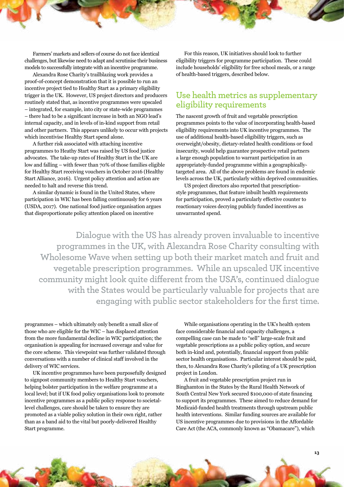<span id="page-14-0"></span>Farmers' markets and sellers of course do not face identical challenges, but likewise need to adapt and scrutinise their business models to successfully integrate with an incentive programme.

Alexandra Rose Charity's trailblazing work provides a proof-of-concept demonstration that it is possible to run an incentive project tied to Healthy Start as a primary eligibility trigger in the UK. However, US project directors and producers routinely stated that, as incentive programmes were upscaled – integrated, for example, into city or state-wide programmes – there had to be a significant increase in both an NGO lead's internal capacity, and in levels of in-kind support from retail and other partners. This appears unlikely to occur with projects which incentivise Healthy Start spend alone.

A further risk associated with attaching incentive programmes to Heathy Start was raised by US food justice advocates. The take-up rates of Healthy Start in the UK are low and falling – with fewer than 70% of those families eligible for Healthy Start receiving vouchers in October 2016 (Healthy Start Alliance, 2016). Urgent policy attention and action are needed to halt and reverse this trend.

A similar dynamic is found in the United States, where participation in WIC has been falling continuously for 6 years (USDA, 2017). One national food justice organisation argues that disproportionate policy attention placed on incentive

For this reason, UK initiatives should look to further eligibility triggers for programme participation. These could include households' eligibility for free school meals, or a range of health-based triggers, described below.

#### **Use health metrics as supplementary eligibility requirements**

The nascent growth of fruit and vegetable prescription programmes points to the value of incorporating health-based eligibility requirements into UK incentive programmes. The use of additional health-based eligibility triggers, such as overweight/obesity, dietary-related health conditions or food insecurity, would help guarantee prospective retail partners a large enough population to warrant participation in an appropriately-funded programme within a geographicallytargeted area. All of the above problems are found in endemic levels across the UK, particularly within deprived communities.

US project directors also reported that prescriptionstyle programmes, that feature inbuilt health requirements for participation, proved a particularly effective counter to reactionary voices decrying publicly funded incentives as unwarranted spend.

**Dialogue with the US has already proven invaluable to incentive programmes in the UK, with Alexandra Rose Charity consulting with Wholesome Wave when setting up both their market match and fruit and vegetable prescription programmes. While an upscaled UK incentive community might look quite different from the USA's, continued dialogue with the States would be particularly valuable for projects that are engaging with public sector stakeholders for the first time.**

programmes – which ultimately only benefit a small slice of those who are eligible for the WIC – has displaced attention from the more fundamental decline in WIC participation; the organisation is appealing for increased coverage and value for the core scheme. This viewpoint was further validated through conversations with a number of clinical staff involved in the delivery of WIC services.

UK incentive programmes have been purposefully designed to signpost community members to Healthy Start vouchers, helping bolster participation in the welfare programme at a local level; but if UK food policy organisations look to promote incentive programmes as a public policy response to societallevel challenges, care should be taken to ensure they are promoted as a viable policy solution in their own right, rather than as a band aid to the vital but poorly-delivered Healthy Start programme.

While organisations operating in the UK's health system face considerable financial and capacity challenges, a compelling case can be made to "sell" large-scale fruit and vegetable prescriptions as a public policy option, and secure both in-kind and, potentially, financial support from public sector health organisations. Particular interest should be paid, then, to Alexandra Rose Charity's piloting of a UK prescription project in London.

A fruit and vegetable prescription project run in Binghamton in the States by the Rural Health Network of South Central New York secured \$100,000 of state financing to support its programmes. These aimed to reduce demand for Medicaid-funded health treatments through upstream public health interventions. Similar funding sources are available for US incentive programmes due to provisions in the Affordable Care Act (the ACA, commonly known as "Obamacare"), which

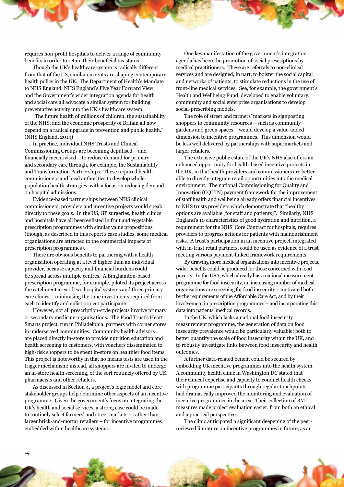requires non-profit hospitals to deliver a range of community benefits in order to retain their beneficial tax status.

Though the UK's healthcare system is radically different from that of the US, similar currents are shaping contemporary health policy in the UK. The Department of Health's Mandate to NHS England, NHS England's Five Year Forward View, and the Government's wider integration agenda for health and social care all advocate a similar system for building preventative activity into the UK's healthcare system.

"The future health of millions of children, the sustainability of the NHS, and the economic prosperity of Britain all now depend on a radical upgrade in prevention and public health." (NHS England, 2014)

In practice, individual NHS Trusts and Clinical Commissioning Groups are becoming deputised – and financially incentivised – to reduce demand for primary and secondary care through, for example, the Sustainability and Transformation Partnerships. These required health commissioners and local authorities to develop wholepopulation health strategies, with a focus on reducing demand on hospital admissions.

Evidence-based partnerships between NHS clinical commissioners, providers and incentive projects would speak directly to these goals. In the US, GP surgeries, health clinics and hospitals have all been enlisted in fruit and vegetable prescription programmes with similar value propositions (though, as described in this report's case studies, some medical organisations are attracted to the commercial impacts of prescription programmes).

There are obvious benefits to partnering with a health organisation operating at a level higher than an individual provider, because capacity and financial burdens could be spread across multiple centres. A Binghamton-based prescription programme, for example, piloted its project across the catchment area of two hospital systems and three primary care clinics – minimising the time investments required from each to identify and enlist project participants.

However, not all prescription-style projects involve primary or secondary medicine organisations. The Food Trust's Heart Smarts project, run in Philadelphia, partners with corner stores in underserved communities. Community health advisors are placed directly in-store to provide nutrition education and health screening to customers, with vouchers disseminated to high-risk shoppers to be spent in-store on healthier food items. This project is noteworthy in that no means tests are used in the trigger mechanism: instead, all shoppers are invited to undergo an in-store health screening, of the sort routinely offered by UK pharmacists and other retailers.

[As discussed in Section 4,](#page-11-0) a project's logic model and core stakeholder groups help determine other aspects of an incentive programme. Given the government's focus on integrating the UK's health and social services, a strong case could be made to routinely select farmers' and street markets – rather than larger brick-and-mortar retailers – for incentive programmes embedded within healthcare systems.

One key manifestation of the government's integration agenda has been the promotion of [social prescriptions](https://www.kingsfund.org.uk/publications/social-prescribing) by medical practitioners. These are referrals to non-clinical services and are designed, in part, to bolster the social capital and networks of patients, to stimulate reductions in the use of front-line medical services. See, for example, the government's [Health and Wellbeing Fund,](https://www.gov.uk/government/publications/health-and-wellbeing-fund-2017-to-2018-application-form) developed to enable voluntary, community and social enterprise organisations to develop social-prescribing models.

The role of street and farmers' markets in signposting shoppers to community resources – such as community gardens and green spaces – would develop a value-added dimension to incentive programmes. This dimension would be less well delivered by partnerships with supermarkets and larger retailers.

The extensive public estate of the UK's NHS also offers an enhanced opportunity for health-based incentive projects in the UK, in that health providers and commissioners are better able to directly integrate retail opportunities into the medical environment. The national Commissioning for Quality and Innovation (CQUIN) payment framework for th[e improvement](https://www.england.nhs.uk/wp-content/uploads/2016/03/HWB-CQUIN-Guidance.pdf)  [of staff health and wellbeing](https://www.england.nhs.uk/wp-content/uploads/2016/03/HWB-CQUIN-Guidance.pdf) already offers financial incentives to NHS trusts providers which demonstrate that "healthy options are available [for staff and patients]". Similarly, NHS England'[s 10 characteristics of good hydration and nutrition,](https://www.england.nhs.uk/commissioning/nut-hyd/10-key-characteristics/) a requirement for the NHS' Core Contract for hospitals, requires providers to progress actions for patients with malnourishment risks. A trust's participation in an incentive project, integrated with in-trust retail partners, could be used as evidence of a trust meeting various payment-linked framework requirements.

By drawing more medical organisations into incentive projects, wider benefits could be produced for those concerned with food poverty. In the USA, which already has a [national measurement](https://www.ers.usda.gov/publications/pub-details/?pubid=84972)  [programme for food insecurity,](https://www.ers.usda.gov/publications/pub-details/?pubid=84972) an increasing number of medical organisations are screening for food insecurity – motivated both by the requirements of the Affordable Care Act, and by their involvement in prescription programmes – and incorporating this data into patients' medical records.

In the UK, which lacks a national food insecurity measurement programme, the generation of data on food insecurity prevalence would be particularly valuable: both to better quantify the scale of food insecurity within the UK, and to robustly investigate links between food insecurity and health outcomes.

A further data-related benefit could be secured by embedding UK incentive programmes into the health system. A community health clinic in Washington DC stated that their clinical expertise and capacity to conduct health checks with programme participants through regular touchpoints had dramatically improved the monitoring and evaluation of incentive programmes in the area. Their collection of BMI measures made project evaluation easier, from both an ethical and a practical perspective.

The clinic anticipated a significant deepening of the peerreviewed literature on incentive programmes in future, as an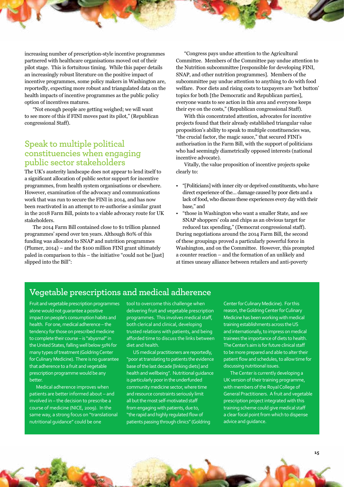<span id="page-16-0"></span>increasing number of prescription-style incentive programmes partnered with healthcare organisations moved out of their pilot stage. This is fortuitous timing. While this paper details an increasingly robust literature on the positive impact of incentive programmes, some policy makers in Washington are, reportedly, expecting more robust and triangulated data on the health impacts of incentive programmes as the public policy option of incentives matures.

"Not enough people are getting weighed; we will want to see more of this if FINI moves past its pilot," (Republican congressional Staff).

#### **Speak to multiple political constituencies when engaging public sector stakeholders**

The UK's austerity landscape does not appear to lend itself to a significant allocation of public sector support for incentive programmes, from health system organisations or elsewhere. However, examination of the advocacy and communications work that was run to secure the FINI in 2014, and has now been reactivated in an attempt to re-authorise a similar grant in the 2018 Farm Bill, points to a viable advocacy route for UK stakeholders.

The 2014 Farm Bill contained close to \$1 trillion planned programmes' spend over ten years. Although 80% of this funding was allocated to SNAP and nutrition programmes (Plumer, 2014) – and the \$100 million FINI grant ultimately paled in comparison to this – the initiative "could not be [just] slipped into the Bill":

"Congress pays undue attention to the Agricultural Committee. Members of the Committee pay undue attention to the Nutrition subcommittee [responsible for developing FINI, SNAP, and other nutrition programmes]. Members of the subcommittee pay undue attention to anything to do with food welfare. Poor diets and rising costs to taxpayers are 'hot button' topics for both [the Democratic and Republican parties], everyone wants to see action in this area and everyone keeps their eye on the costs," (Republican congressional Staff).

With this concentrated attention, advocates for incentive projects found that their already established triangular value proposition's ability to speak to multiple constituencies was, "the crucial factor, the magic sauce," that secured FINI's authorisation in the Farm Bill, with the support of politicians who had seemingly diametrically opposed interests (national incentive advocate).

Vitally, the value proposition of incentive projects spoke clearly to:

- "[Politicians] with inner city or deprived constituents, who have direct experience of the… damage caused by poor diets and a lack of food, who discuss these experiences every day with their base," and
- "those in Washington who want a smaller State, and see SNAP shoppers' cola and chips as an obvious target for reduced tax spending," (Democrat congressional staff).

During negotiations around the 2014 Farm Bill, the second of these groupings proved a particularly powerful force in Washington, and on the Committee. However, this prompted a counter reaction – and the formation of an unlikely and at times uneasy alliance between retailers and anti-poverty

### **Vegetable prescriptions and medical adherence**

Fruit and vegetable prescription programmes alone would not guarantee a positive impact on people's consumption habits and health. For one, medical adherence – the tendency for those on prescribed medicine to complete their course – is "abysmal" in the United States, falling well below 50% for many types of treatment (Goldring Center for Culinary Medicine). There is no guarantee that adherence to a fruit and vegetable prescription programme would be any better.

Medical adherence improves when patients are better informed about – and involved in – the decision to prescribe a course of medicine (NICE, 2009). In the same way, a strong focus on "translational nutritional guidance" could be one

tool to overcome this challenge when delivering fruit and vegetable prescription programmes. This involves medical staff, both clerical and clinical, developing trusted relations with patients, and being afforded time to discuss the links between diet and health.

US medical practitioners are reportedly, "poor at translating to patients the evidence base of the last decade [linking diets] and health and wellbeing". Nutritional guidance is particularly poor in the underfunded community medicine sector, where time and resource constraints seriously limit all but the most self-motivated staff from engaging with patients, due to, "the rapid and highly regulated flow of patients passing through clinics" (Goldring

Center for Culinary Medicine). For this reason, the [Goldring Center for Culinary](https://culinarymedicine.org/)  [Medicine](https://culinarymedicine.org/) has been working with medical training establishments across the US and internationally, to impress on medical trainees the importance of diets to health. The Center's aim is for future clinical staff to be more prepared and able to alter their patient flow and schedules, to allow time for discussing nutritional issues.

The Center is currently developing a UK version of their training programme, with members of the Royal College of General Practitioners. A fruit and vegetable prescription project integrated with this training scheme could give medical staff a clear focal point from which to dispense advice and guidance.

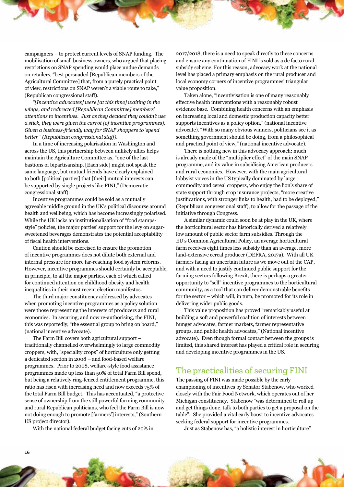<span id="page-17-0"></span>campaigners – to protect current levels of SNAP funding. The mobilisation of small business owners, who argued that placing restrictions on SNAP spending would place undue demands on retailers, "best persuaded [Republican members of the Agricultural Committee] that, from a purely practical point of view, restrictions on SNAP weren't a viable route to take," (Republican congressional staff).

*"[Incentive advocates] were [at this time] waiting in the wings, and redirected [Republican Committee] members' attentions to incentives. Just as they decided they couldn't use a stick, they were given the carrot [of incentive programmes]. Given a business-friendly way for SNAP shoppers to 'spend better'" (Republican congressional staff).*

In a time of increasing polarisation in Washington and across the US, this partnership between unlikely allies helps maintain the Agriculture Committee as, "one of the last bastions of bipartisanship. [Each side] might not speak the same language, but mutual friends have clearly explained to both [political parties] that [their] mutual interests can be supported by single projects like FINI," (Democratic congressional staff).

Incentive programmes could be sold as a mutually agreeable middle ground in the UK's political discourse around health and wellbeing, which has become increasingly polarised. While the UK lacks an institutionalisation of "food stampsstyle" policies, the major parties' support for the levy on sugarsweetened beverages demonstrates the potential acceptability of fiscal health interventions.

Caution should be exercised to ensure the promotion of incentive programmes does not dilute both external and internal pressure for more far-reaching food system reforms. However, incentive programmes should certainly be acceptable, in principle, to all the major parties, each of which called for continued attention on childhood obesity and health inequalities in their most recent election manifestos.

The third major constituency addressed by advocates when promoting incentive programmes as a policy solution were those representing the interests of producers and rural economies. In securing, and now re-authorising, the FINI, this was reportedly, "the essential group to bring on board," (national incentive advocate).

The Farm Bill covers both agricultural support – traditionally channelled overwhelmingly to large commodity croppers, with, "speciality crops" of horticulture only getting a dedicated section in 2008 – and food-based welfare programmes. Prior to 2008, welfare-style food assistance programmes made up less than 50% of total Farm Bill spend, but being a relatively ring-fenced entitlement programme, this ratio has risen with increasing need and now exceeds 75% of the total Farm Bill budget. This has accentuated, "a protective sense of ownership from the still powerful farming community and rural Republican politicians, who feel the Farm Bill is now not doing enough to promote [farmers'] interests," (Southern US project director).

With the national federal budget facing cuts of 20% in

2017/2018, there is a need to speak directly to these concerns and ensure any continuation of FINI is sold as a de facto rural subsidy scheme. For this reason, advocacy work at the national level has placed a primary emphasis on the rural producer and local economy corners of incentive programmes' triangular value proposition.

Taken alone, "incentivisation is one of many reasonably effective health interventions with a reasonably robust evidence base. Combining health concerns with an emphasis on increasing local and domestic production capacity better supports incentives as a policy option," (national incentive advocate). "With so many obvious winners, politicians see it as something government should be doing, from a philosophical and practical point of view," (national incentive advocate).

There is nothing new in this advocacy approach: much is already made of the "multiplier effect" of the main SNAP programme, and its value in subsidising American producers and rural economies. However, with the main agricultural lobbyist voices in the US typically dominated by large commodity and cereal croppers, who enjoy the lion's share of state support through crop insurance projects, "more creative justifications, with stronger links to health, had to be deployed," (Republican congressional staff), to allow for the passage of the initiative through Congress.

A similar dynamic could soon be at play in the UK, where the horticultural sector has historically derived a relatively low amount of public sector farm subsidies. Through the EU's Common Agricultural Policy, an average horticultural farm receives eight times less subsidy than an average, more land-extensive cereal producer (DEFRA, 2017a). With all UK farmers facing an uncertain future as we move out of the CAP, and with a need to justify continued public support for the farming sectors following Brexit, there is perhaps a greater opportunity to "sell" incentive programmes to the horticultural community, as a tool that can deliver demonstrable benefits for the sector – which will, in turn, be promoted for its role in delivering wider public goods.

This value proposition has proved "remarkably useful at building a soft and powerful coalition of interests between hunger advocates, farmer markets, farmer representative groups, and public health advocates," (National incentive advocate). Even though formal contact between the groups is limited, this shared interest has played a critical role in securing and developing incentive programmes in the US.

#### **The practicalities of securing FINI**

The passing of FINI was made possible by the early championing of incentives by [Senator Stabenow,](https://www.stabenow.senate.gov/) who worked closely with the Fair Food Network, which operates out of her Michigan constituency. Stabenow "was determined to roll up and get things done, talk to both parties to get a proposal on the table". She provided a vital early boost to incentive advocates seeking federal support for incentive programmes.

Just as Stabenow has, "a holistic interest in horticulture"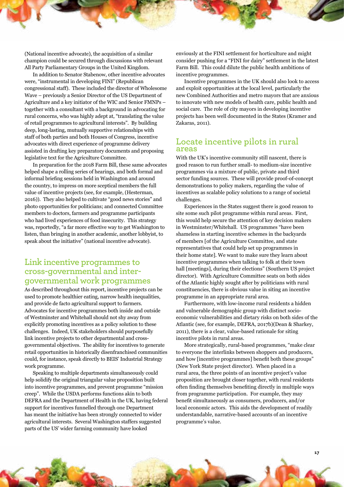<span id="page-18-0"></span>(National incentive advocate), the acquisition of a similar champion could be secured through discussions with relevant All Party Parliamentary Groups in the United Kingdom.

In addition to Senator Stabenow, other incentive advocates were, "instrumental in developing FINI" (Republican congressional staff). These included the director of Wholesome Wave – previously a Senior Director of the US Department of Agriculture and a key initiator of the WIC and Senior FMNPs – together with a consultant with a background in advocating for rural concerns, who was highly adept at, "translating the value of retail programmes to agricultural interests". By building deep, long-lasting, mutually supportive relationships with staff of both parties and both Houses of Congress, incentive advocates with direct experience of programme delivery assisted in drafting key preparatory documents and proposing legislative text for the Agriculture Committee.

In preparation for the 2018 Farm Bill, these same advocates helped shape a rolling series of hearings, and both formal and informal briefing sessions held in Washington and around the country, to impress on more sceptical members the full value of incentive projects (see, for example, (Hesterman, 2016)). They also helped to cultivate "good news stories" and photo opportunities for politicians; and connected Committee members to doctors, farmers and programme participants who had lived experiences of food insecurity. This strategy was, reportedly, "a far more effective way to get Washington to listen, than bringing in another academic, another lobbyist, to speak about the initiative" (national incentive advocate).

### **Link incentive programmes to cross-governmental and intergovernmental work programmes**

As described throughout this report, incentive projects can be used to promote healthier eating, narrow health inequalities, and provide de facto agricultural support to farmers. Advocates for incentive programmes both inside and outside of Westminster and Whitehall should not shy away from explicitly promoting incentives as a policy solution to these challenges. Indeed, UK stakeholders should purposefully link incentive projects to other departmental and crossgovernmental objectives. The ability for incentives to generate retail opportunities in historically disenfranchised communities could, for instance, speak directly t[o BEIS' Industrial Strategy](https://www.gov.uk/government/consultations/building-our-industrial-strategy)  [work programme.](https://www.gov.uk/government/consultations/building-our-industrial-strategy) 

Speaking to multiple departments simultaneously could help solidify the original triangular value proposition built into incentive programmes, and prevent programme "mission creep". While the USDA performs functions akin to both DEFRA and the Department of Health in the UK, having federal support for incentives funnelled through one Department has meant the initiative has been strongly connected to wider agricultural interests. Several Washington staffers suggested parts of the US' wider farming community have looked

enviously at the FINI settlement for horticulture and might consider pushing for a "FINI for dairy" settlement in the latest Farm Bill. This could dilute the public health ambitions of incentive programmes.

Incentive programmes in the UK should also look to access and exploit opportunities at the local level, particularly the new [Combined Authorities](https://www.local.gov.uk/topics/devolution/combined-authorities) and metro mayors that are anxious to innovate with new models of health care, public health and social care. The role of city mayors in developing incentive projects has been well documented in the States (Kramer and Zakaras, 2011).

#### **Locate incentive pilots in rural areas**

With the UK's incentive community still nascent, there is good reason to run further small- to medium-size incentive programmes via a mixture of public, private and third sector funding sources. These will provide proof-of-concept demonstrations to policy makers, regarding the value of incentives as scalable policy solutions to a range of societal challenges.

Experiences in the States suggest there is good reason to site some such pilot programme within rural areas. First, this would help secure the attention of key decision makers in Westminster/Whitehall. US programmes "have been shameless in starting incentive schemes in the backyards of members [of the Agriculture Committee, and state representatives that could help set up programmes in their home state]. We want to make sure they learn about incentive programmes when talking to folk at their town hall [meetings], during their elections" (Southern US project director). With Agriculture Committee seats on both sides of the Atlantic highly sought after by politicians with rural constituencies, there is obvious value in siting an incentive programme in an appropriate rural area.

Furthermore, with low-income rural residents a hidden and vulnerable demographic group with distinct socioeconomic vulnerabilities and dietary risks on both sides of the Atlantic (see, for example, DEFRA, 2017b)(Dean & Sharkey, 2011), there is a clear, value-based rationale for siting incentive pilots in rural areas.

More strategically, rural-based programmes, "make clear to everyone the interlinks between shoppers and producers, and how [incentive programmes] benefit both these groups" (New York State project director). When placed in a rural area, the three points of an incentive project's value proposition are brought closer together, with rural residents often finding themselves benefiting directly in multiple ways from programme participation. For example, they may benefit simultaneously as consumers, producers, and/or local economic actors. This aids the development of readily understandable, narrative-based accounts of an incentive programme's value.

**17**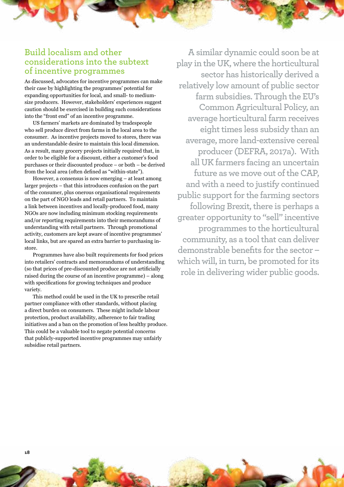#### <span id="page-19-0"></span>**Build localism and other considerations into the subtext of incentive programmes**

As discussed, advocates for incentive programmes can make their case by highlighting the programmes' potential for expanding opportunities for local, and small- to mediumsize producers. However, stakeholders' experiences suggest caution should be exercised in building such considerations into the "front end" of an incentive programme.

US farmers' markets are dominated by tradespeople who sell produce direct from farms in the local area to the consumer. As incentive projects moved to stores, there was an understandable desire to maintain this local dimension. As a result, many grocery projects initially required that, in order to be eligible for a discount, either a customer's food purchases or their discounted produce – or both – be derived from the local area (often defined as "within-state").

However, a consensus is now emerging – at least among larger projects – that this introduces confusion on the part of the consumer, plus onerous organisational requirements on the part of NGO leads and retail partners. To maintain a link between incentives and locally-produced food, many NGOs are now including minimum stocking requirements and/or reporting requirements into their memorandums of understanding with retail partners. Through promotional activity, customers are kept aware of incentive programmes' local links, but are spared an extra barrier to purchasing instore.

Programmes have also built requirements for food prices into retailers' contracts and memorandums of understanding (so that prices of pre-discounted produce are not artificially raised during the course of an incentive programme) – along with specifications for growing techniques and produce variety.

This method could be used in the UK to prescribe retail partner compliance with other standards, without placing a direct burden on consumers. These might include labour protection, product availability, adherence to fair trading initiatives and a ban on the promotion of less healthy produce. This could be a valuable tool to negate potential concerns that publicly-supported incentive programmes may unfairly subsidise retail partners.

**A similar dynamic could soon be at play in the UK, where the horticultural sector has historically derived a relatively low amount of public sector farm subsidies. Through the EU's Common Agricultural Policy, an average horticultural farm receives eight times less subsidy than an average, more land-extensive cereal producer (DEFRA, 2017a). With all UK farmers facing an uncertain future as we move out of the CAP, and with a need to justify continued public support for the farming sectors following Brexit, there is perhaps a greater opportunity to "sell" incentive programmes to the horticultural community, as a tool that can deliver demonstrable benefits for the sector – which will, in turn, be promoted for its role in delivering wider public goods.**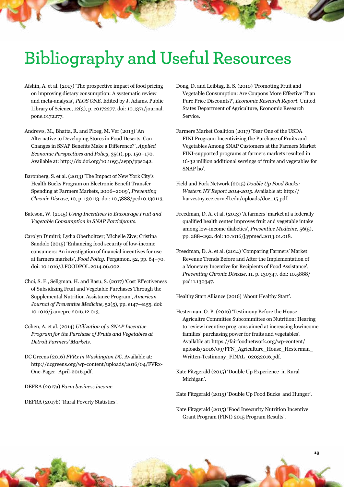# <span id="page-20-0"></span>**Bibliography and Useful Resources**

- Afshin, A. et al. (2017) 'The prospective impact of food pricing on improving dietary consumption: A systematic review and meta-analysis', *PLOS ONE*. Edited by J. Adams. Public Library of Science, 12(3), p. e0172277. doi: 10.1371/journal. pone.0172277.
- Andrews, M., Bhatta, R. and Ploeg, M. Ver (2013) 'An Alternative to Developing Stores in Food Deserts: Can Changes in SNAP Benefits Make a Difference?', *Applied Economic Perspectives and Policy,* 35(1), pp. 150–170. Available at: http://dx.doi.org/10.1093/aepp/pps042.
- Baronberg, S. et al. (2013) 'The Impact of New York City's Health Bucks Program on Electronic Benefit Transfer Spending at Farmers Markets, 2006–2009', *Preventing Chronic Disease,* 10, p. 130113. doi: 10.5888/pcd10.130113.
- Bateson, W. (2015) *Using Incentives to Encourage Fruit and Vegetable Consumption in SNAP Participants.*
- Carolyn Dimitri; Lydia Oberholtzer; Michelle Zive; Cristina Sandolo (2015) 'Enhancing food security of low-income consumers: An investigation of financial incentives for use at farmers markets', *Food Policy.* Pergamon, 52, pp. 64–70. doi: 10.1016/J.FOODPOL.2014.06.002.
- Choi, S. E., Seligman, H. and Basu, S. (2017) 'Cost Effectiveness of Subsidizing Fruit and Vegetable Purchases Through the Supplemental Nutrition Assistance Program', *American Journal of Preventive Medicine,* 52(5), pp. e147–e155. doi: 10.1016/j.amepre.2016.12.013.
- Cohen, A. et al. (2014) *Utilization of a SNAP Incentive Program for the Purchase of Fruits and Vegetables at Detroit Farmers' Markets.*
- DC Greens (2016) *FVRx in Washington DC*. Available at: http://dcgreens.org/wp-content/uploads/2016/04/FVRx-One-Pager\_April-2016.pdf.
- DEFRA (2017a) *Farm business income.*

DEFRA (2017b) 'Rural Poverty Statistics'.

- Dong, D. and Leibtag, E. S. (2010) 'Promoting Fruit and Vegetable Consumption: Are Coupons More Effective Than Pure Price Discounts?', *Economic Research Report.* United States Department of Agriculture, Economic Research Service.
- Farmers Market Coalition (2017) 'Year One of the USDA FINI Program: Incentivizing the Purchase of Fruits and Vegetables Among SNAP Customers at the Farmers Market FINI-supported programs at farmers markets resulted in 16-32 million additional servings of fruits and vegetables for SNAP ho'.
- Field and Fork Network (2015) *Double Up Food Bucks: Western NY Report 2014-2015.* Available at: http:// harvestny.cce.cornell.edu/uploads/doc\_15.pdf.
- Freedman, D. A. et al. (2013) 'A farmers' market at a federally qualified health center improves fruit and vegetable intake among low-income diabetics', *Preventive Medicine,* 56(5), pp. 288–292. doi: 10.1016/j.ypmed.2013.01.018.
- Freedman, D. A. et al. (2014) 'Comparing Farmers' Market Revenue Trends Before and After the Implementation of a Monetary Incentive for Recipients of Food Assistance', *Preventing Chronic Disease,* 11, p. 130347. doi: 10.5888/ pcd11.130347.

Healthy Start Alliance (2016) 'About Healthy Start'.

- Hesterman, O. B. (2016) 'Testimony Before the House Agricultre Committee Subcommittee on Nutrition: Hearing to review incentive programs aimed at increasing lowincome families' purchasing power for fruits and vegetables'. Available at: https://fairfoodnetwork.org/wp-content/ uploads/2016/09/FFN\_Agriculture\_House\_Hesterman\_ Written-Testimony\_FINAL\_02032016.pdf.
- Kate Fitzgerald (2015) 'Double Up Experience in Rural Michigan'.

Kate Fitzgerald (2015) 'Double Up Food Bucks and Hunger'.

Kate Fitzgerald (2015) 'Food Insecurity Nutrition Incentive Grant Program (FINI) 2015 Program Results'.

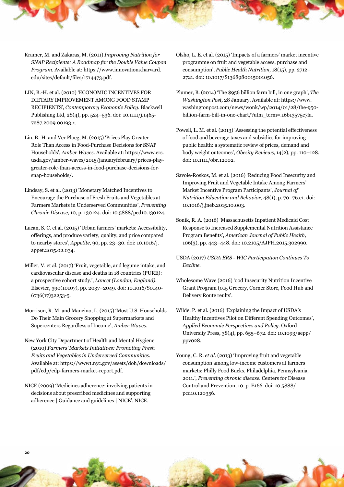- Kramer, M. and Zakaras, M. (2011) *Improving Nutrition for SNAP Recipients: A Roadmap for the Double Value Coupon Program.* Available at: https://www.innovations.harvard. edu/sites/default/files/1714473.pdf.
- LIN, B.-H. et al. (2010) 'ECONOMIC INCENTIVES FOR DIETARY IMPROVEMENT AMONG FOOD STAMP RECIPIENTS', *Contemporary Economic Policy.* Blackwell Publishing Ltd, 28(4), pp. 524–536. doi: 10.1111/j.1465- 7287.2009.00193.x.
- Lin, B.-H. and Ver Ploeg, M. (2015) 'Prices Play Greater Role Than Access in Food-Purchase Decisions for SNAP Households', *Amber Waves.* Available at: https://www.ers. usda.gov/amber-waves/2015/januaryfebruary/prices-playgreater-role-than-access-in-food-purchase-decisions-forsnap-households/.
- Lindsay, S. et al. (2013) 'Monetary Matched Incentives to Encourage the Purchase of Fresh Fruits and Vegetables at Farmers Markets in Underserved Communities', *Preventing Chronic Disease,* 10, p. 130124. doi: 10.5888/pcd10.130124.
- Lucan, S. C. et al. (2015) 'Urban farmers' markets: Accessibility, offerings, and produce variety, quality, and price compared to nearby stores', *Appetite,* 90, pp. 23–30. doi: 10.1016/j. appet.2015.02.034.
- Miller, V. et al. (2017) 'Fruit, vegetable, and legume intake, and cardiovascular disease and deaths in 18 countries (PURE): a prospective cohort study.', *Lancet (London, England).*  Elsevier, 390(10107), pp. 2037–2049. doi: 10.1016/S0140- 6736(17)32253-5.
- Morrison, R. M. and Mancino, L. (2015) 'Most U.S. Households Do Their Main Grocery Shopping at Supermarkets and Supercenters Regardless of Income', *Amber Waves.*
- New York City Department of Health and Mental Hygiene (2010) *Farmers' Markets Initiatives: Promoting Fresh Fruits and Vegetables in Underserved Communities.* Available at: https://www1.nyc.gov/assets/doh/downloads/ pdf/cdp/cdp-farmers-market-report.pdf.
- NICE (2009) 'Medicines adherence: involving patients in decisions about prescribed medicines and supporting adherence | Guidance and guidelines | NICE'. NICE.
- Olsho, L. E. et al. (2015) 'Impacts of a farmers' market incentive programme on fruit and vegetable access, purchase and consumption', *Public Health Nutrition,* 18(15), pp. 2712– 2721. doi: 10.1017/S1368980015001056.
- Plumer, B. (2014) 'The \$956 billion farm bill, in one graph', *The Washington Post,* 28 January. Available at: https://www. washingtonpost.com/news/wonk/wp/2014/01/28/the-950 billion-farm-bill-in-one-chart/?utm\_term=.16b13575c7fa.
- Powell, L. M. et al. (2013) 'Assessing the potential effectiveness of food and beverage taxes and subsidies for improving public health: a systematic review of prices, demand and body weight outcomes', *Obesity Reviews,* 14(2), pp. 110–128. doi: 10.1111/obr.12002.
- Savoie-Roskos, M. et al. (2016) 'Reducing Food Insecurity and Improving Fruit and Vegetable Intake Among Farmers' Market Incentive Program Participants', *Journal of Nutrition Education and Behavior,* 48(1), p. 70–76.e1. doi: 10.1016/j.jneb.2015.10.003.
- Sonik, R. A. (2016) 'Massachusetts Inpatient Medicaid Cost Response to Increased Supplemental Nutrition Assistance Program Benefits', *American Journal of Public Health,*  106(3), pp. 443–448. doi: 10.2105/AJPH.2015.302990.
- USDA (2017) *USDA ERS WIC Participation Continues To Decline.*
- Wholesome Wave (2016) 'ood Insecurity Nutrition Incentive Grant Program (015 Grocery, Corner Store, Food Hub and Delivery Route reults'.
- Wilde, P. et al. (2016) 'Explaining the Impact of USDA's Healthy Incentives Pilot on Different Spending Outcomes', *Applied Economic Perspectives and Policy.* Oxford University Press, 38(4), pp. 655–672. doi: 10.1093/aepp/ ppv028.
- Young, C. R. *et al.* (2013) 'Improving fruit and vegetable consumption among low-income customers at farmers markets: Philly Food Bucks, Philadelphia, Pennsylvania, 2011.', *Preventing chronic disease.* Centers for Disease Control and Prevention, 10, p. E166. doi: 10.5888/ pcd10.120356.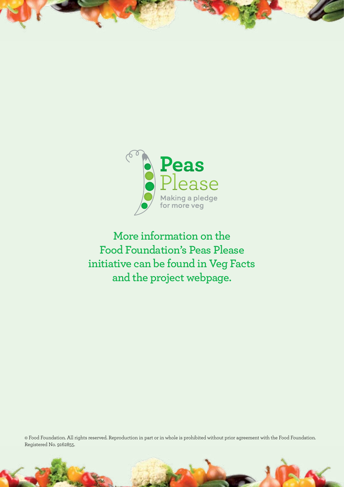

**More information on the Food Foundation's Peas Please initiative can be found in Veg Facts and the project webpage.** 

© Food Foundation. All rights reserved. Reproduction in part or in whole is prohibited without prior agreement with the Food Foundation. Registered No. 9162855.